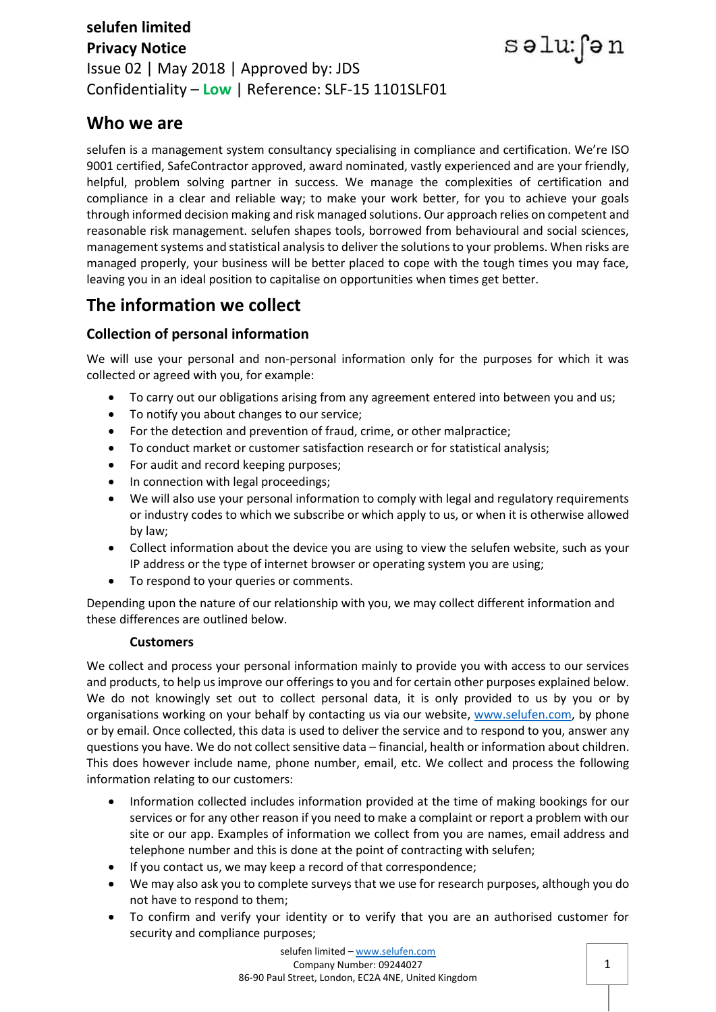### **selufen limited Privacy Notice** Issue 02 | May 2018 | Approved by: JDS Confidentiality – **Low** | Reference: SLF-15 1101SLF01

## **Who we are**

selufen is a management system consultancy specialising in compliance and certification. We're ISO 9001 certified, SafeContractor approved, award nominated, vastly experienced and are your friendly, helpful, problem solving partner in success. We manage the complexities of certification and compliance in a clear and reliable way; to make your work better, for you to achieve your goals through informed decision making and risk managed solutions. Our approach relies on competent and reasonable risk management. selufen shapes tools, borrowed from behavioural and social sciences, management systems and statistical analysis to deliver the solutions to your problems. When risks are managed properly, your business will be better placed to cope with the tough times you may face, leaving you in an ideal position to capitalise on opportunities when times get better.

# **The information we collect**

### **Collection of personal information**

We will use your personal and non-personal information only for the purposes for which it was collected or agreed with you, for example:

- To carry out our obligations arising from any agreement entered into between you and us;
- To notify you about changes to our service;
- For the detection and prevention of fraud, crime, or other malpractice;
- To conduct market or customer satisfaction research or for statistical analysis;
- For audit and record keeping purposes;
- In connection with legal proceedings;
- We will also use your personal information to comply with legal and regulatory requirements or industry codes to which we subscribe or which apply to us, or when it is otherwise allowed by law;
- Collect information about the device you are using to view the selufen website, such as your IP address or the type of internet browser or operating system you are using;
- To respond to your queries or comments.

Depending upon the nature of our relationship with you, we may collect different information and these differences are outlined below.

#### **Customers**

We collect and process your personal information mainly to provide you with access to our services and products, to help us improve our offerings to you and for certain other purposes explained below. We do not knowingly set out to collect personal data, it is only provided to us by you or by organisations working on your behalf by contacting us via our website, [www.selufen.com,](http://www.selufen.com/) by phone or by email. Once collected, this data is used to deliver the service and to respond to you, answer any questions you have. We do not collect sensitive data – financial, health or information about children. This does however include name, phone number, email, etc. We collect and process the following information relating to our customers:

- Information collected includes information provided at the time of making bookings for our services or for any other reason if you need to make a complaint or report a problem with our site or our app. Examples of information we collect from you are names, email address and telephone number and this is done at the point of contracting with selufen;
- If you contact us, we may keep a record of that correspondence;
- We may also ask you to complete surveys that we use for research purposes, although you do not have to respond to them;
- To confirm and verify your identity or to verify that you are an authorised customer for security and compliance purposes;

səlu: fən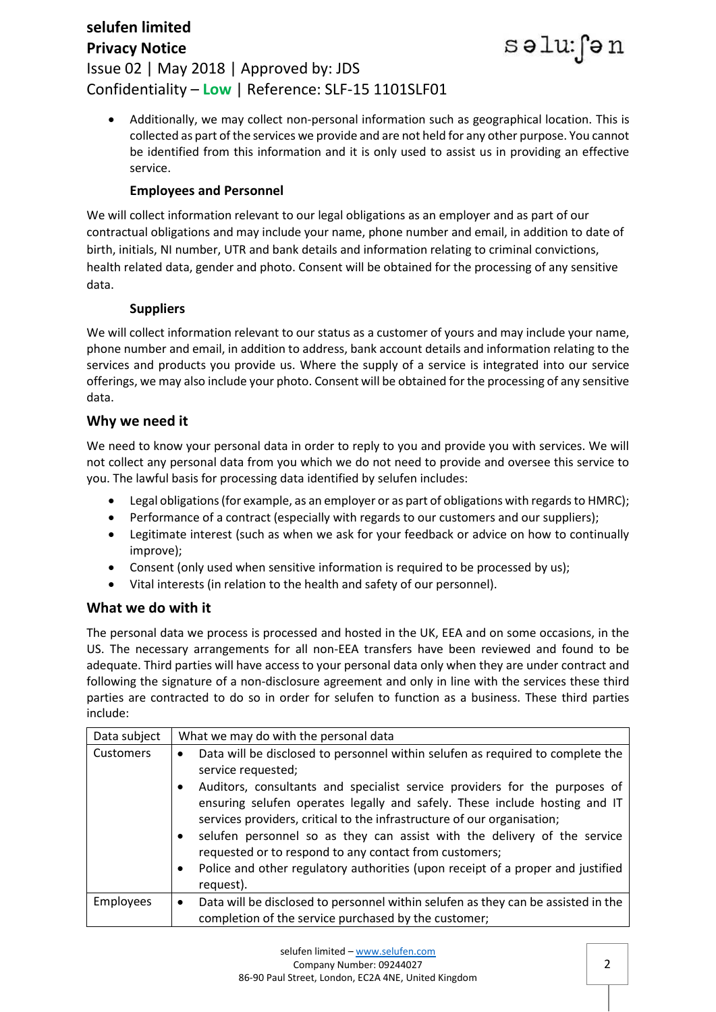### **selufen limited Privacy Notice** Issue 02 | May 2018 | Approved by: JDS Confidentiality – **Low** | Reference: SLF-15 1101SLF01

 Additionally, we may collect non-personal information such as geographical location. This is collected as part of the services we provide and are not held for any other purpose. You cannot be identified from this information and it is only used to assist us in providing an effective service.

səlu: fən

### **Employees and Personnel**

We will collect information relevant to our legal obligations as an employer and as part of our contractual obligations and may include your name, phone number and email, in addition to date of birth, initials, NI number, UTR and bank details and information relating to criminal convictions, health related data, gender and photo. Consent will be obtained for the processing of any sensitive data.

### **Suppliers**

We will collect information relevant to our status as a customer of yours and may include your name, phone number and email, in addition to address, bank account details and information relating to the services and products you provide us. Where the supply of a service is integrated into our service offerings, we may also include your photo. Consent will be obtained for the processing of any sensitive data.

### **Why we need it**

We need to know your personal data in order to reply to you and provide you with services. We will not collect any personal data from you which we do not need to provide and oversee this service to you. The lawful basis for processing data identified by selufen includes:

- Legal obligations (for example, as an employer or as part of obligations with regards to HMRC);
- Performance of a contract (especially with regards to our customers and our suppliers);
- Legitimate interest (such as when we ask for your feedback or advice on how to continually improve);
- Consent (only used when sensitive information is required to be processed by us);
- Vital interests (in relation to the health and safety of our personnel).

### **What we do with it**

The personal data we process is processed and hosted in the UK, EEA and on some occasions, in the US. The necessary arrangements for all non-EEA transfers have been reviewed and found to be adequate. Third parties will have access to your personal data only when they are under contract and following the signature of a non-disclosure agreement and only in line with the services these third parties are contracted to do so in order for selufen to function as a business. These third parties include:

| Data subject     | What we may do with the personal data                                                                                                                                                                                                                                                                                                                                                                                                                                                                                                                                                          |
|------------------|------------------------------------------------------------------------------------------------------------------------------------------------------------------------------------------------------------------------------------------------------------------------------------------------------------------------------------------------------------------------------------------------------------------------------------------------------------------------------------------------------------------------------------------------------------------------------------------------|
| <b>Customers</b> | Data will be disclosed to personnel within selufen as required to complete the<br>$\bullet$<br>service requested;<br>Auditors, consultants and specialist service providers for the purposes of<br>ensuring selufen operates legally and safely. These include hosting and IT<br>services providers, critical to the infrastructure of our organisation;<br>selufen personnel so as they can assist with the delivery of the service<br>requested or to respond to any contact from customers;<br>Police and other regulatory authorities (upon receipt of a proper and justified<br>request). |
| <b>Employees</b> | Data will be disclosed to personnel within selufen as they can be assisted in the<br>$\bullet$<br>completion of the service purchased by the customer;                                                                                                                                                                                                                                                                                                                                                                                                                                         |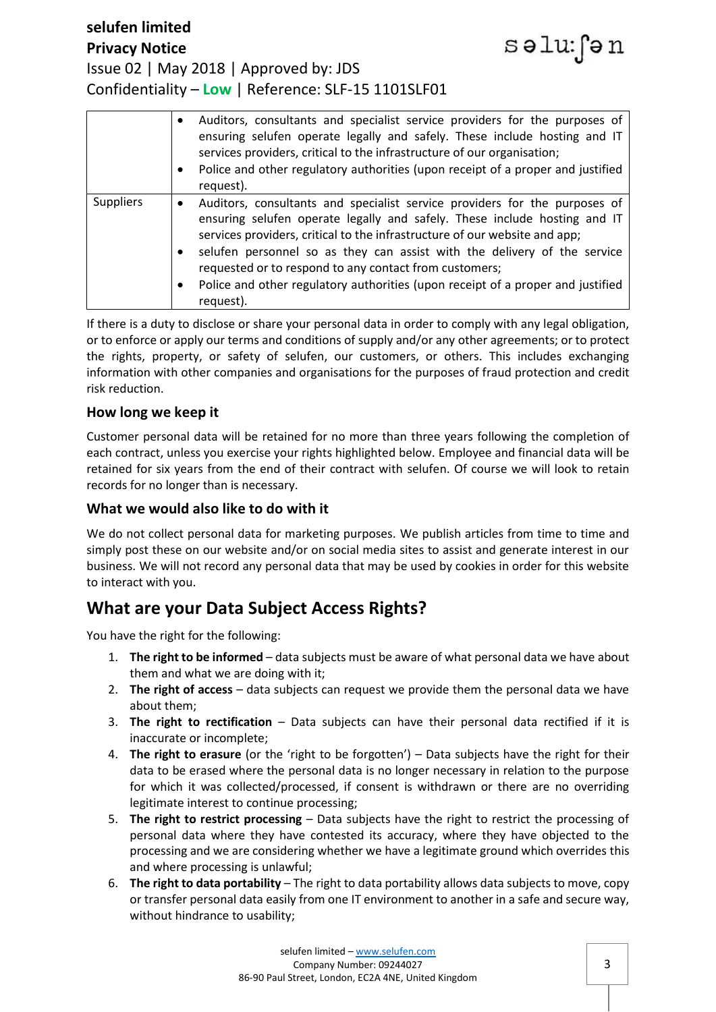#### **selufen limited** səlu: fən **Privacy Notice** Issue 02 | May 2018 | Approved by: JDS Confidentiality – **Low** | Reference: SLF-15 1101SLF01



If there is a duty to disclose or share your personal data in order to comply with any legal obligation, or to enforce or apply our terms and conditions of supply and/or any other agreements; or to protect the rights, property, or safety of selufen, our customers, or others. This includes exchanging information with other companies and organisations for the purposes of fraud protection and credit risk reduction.

#### **How long we keep it**

Customer personal data will be retained for no more than three years following the completion of each contract, unless you exercise your rights highlighted below. Employee and financial data will be retained for six years from the end of their contract with selufen. Of course we will look to retain records for no longer than is necessary.

#### **What we would also like to do with it**

We do not collect personal data for marketing purposes. We publish articles from time to time and simply post these on our website and/or on social media sites to assist and generate interest in our business. We will not record any personal data that may be used by cookies in order for this website to interact with you.

### **What are your Data Subject Access Rights?**

You have the right for the following:

- 1. **The right to be informed** data subjects must be aware of what personal data we have about them and what we are doing with it;
- 2. **The right of access** data subjects can request we provide them the personal data we have about them;
- 3. **The right to rectification** Data subjects can have their personal data rectified if it is inaccurate or incomplete;
- 4. **The right to erasure** (or the 'right to be forgotten') Data subjects have the right for their data to be erased where the personal data is no longer necessary in relation to the purpose for which it was collected/processed, if consent is withdrawn or there are no overriding legitimate interest to continue processing;
- 5. **The right to restrict processing** Data subjects have the right to restrict the processing of personal data where they have contested its accuracy, where they have objected to the processing and we are considering whether we have a legitimate ground which overrides this and where processing is unlawful;
- 6. **The right to data portability** The right to data portability allows data subjects to move, copy or transfer personal data easily from one IT environment to another in a safe and secure way, without hindrance to usability;